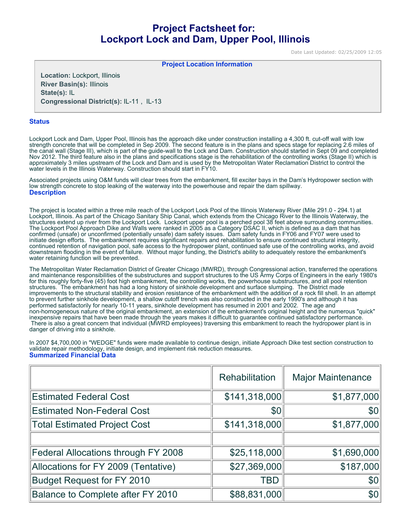# **Project Factsheet for: Lockport Lock and Dam, Upper Pool, Illinois**

Date Last Updated: 02/25/2009 12:05

**Project Location Information** 

**Location:** Lockport, Illinois **River Basin(s):** Illinois **State(s):** IL **Congressional District(s):** IL-11 , IL-13

#### **Status**

Lockport Lock and Dam, Upper Pool, Illinois has the approach dike under construction installing a 4,300 ft. cut-off wall with low strength concrete that will be completed in Sep 2009. The second feature is in the plans and specs stage for replacing 2.6 miles of the canal wall (Stage III), which is part of the guide-wall to the Lock and Dam. Construction should started in Sept 09 and completed Nov 2012. The third feature also in the plans and specifications stage is the rehabilitation of the controlling works (Stage II) which is approximately 3 miles upstream of the Lock and Dam and is used by the Metropolitan Water Reclamation District to control the water levels in the Illinois Waterway. Construction should start in FY10.

Associated projects using O&M funds will clear trees from the embankment, fill exciter bays in the Dam's Hydropower section with low strength concrete to stop leaking of the waterway into the powerhouse and repair the dam spillway. **Description**

The project is located within a three mile reach of the Lockport Lock Pool of the Illinois Waterway River (Mile 291.0 - 294.1) at Lockport, Illinois. As part of the Chicago Sanitary Ship Canal, which extends from the Chicago River to the Illinois Waterway, the structures extend up river from the Lockport Lock. Lockport upper pool is a perched pool 38 feet above surrounding communities. The Lockport Pool Approach Dike and Walls were ranked in 2005 as a Category DSAC II, which is defined as a dam that has confirmed (unsafe) or unconfirmed (potentially unsafe) dam safety issues. Dam safety funds in FY06 and FY07 were used to initiate design efforts. The embankment requires significant repairs and rehabilitation to ensure continued structural integrity, continued retention of navigation pool, safe access to the hydropower plant, continued safe use of the controlling works, and avoid downstream flooding in the event of failure. Without major funding, the District's ability to adequately restore the embankment's water retaining function will be prevented.

The Metropolitan Water Reclamation District of Greater Chicago (MWRD), through Congressional action, transferred the operations and maintenance responsibilities of the substructures and support structures to the US Army Corps of Engineers in the early 1980's for this roughly forty-five (45) foot high embankment, the controlling works, the powerhouse substructures, and all pool retention structures. The embankment has had a long history of sinkhole development and surface slumping. The District made improvements to the structural stability and erosion resistance of the embankment with the addition of a rock fill shell. In an attempt to prevent further sinkhole development, a shallow cutoff trench was also constructed in the early 1990's and although it has performed satisfactorily for nearly 10-11 years, sinkhole development has resumed in 2001 and 2002. The age and non-homogeneous nature of the original embankment, an extension of the embankment's original height and the numerous "quick" inexpensive repairs that have been made through the years makes it difficult to guarantee continued satisfactory performance. There is also a great concern that individual (MWRD employees) traversing this embankment to reach the hydropower plant is in danger of driving into a sinkhole.

In 2007 \$4,700,000 in "WEDGE" funds were made available to continue design, initiate Approach Dike test section construction to validate repair methodology, initiate design, and implement risk reduction measures. **Summarized Financial Data**

|                                     | Rehabilitation | <b>Major Maintenance</b> |
|-------------------------------------|----------------|--------------------------|
| <b>Estimated Federal Cost</b>       | \$141,318,000  | \$1,877,000              |
| <b>Estimated Non-Federal Cost</b>   | \$0            | \$0 <sub>1</sub>         |
| <b>Total Estimated Project Cost</b> | \$141,318,000  | \$1,877,000              |
|                                     |                |                          |
| Federal Allocations through FY 2008 | \$25,118,000   | \$1,690,000              |
| Allocations for FY 2009 (Tentative) | \$27,369,000   | \$187,000                |
| <b>Budget Request for FY 2010</b>   | <b>TBD</b>     | \$0 <sub>1</sub>         |
| Balance to Complete after FY 2010   | \$88,831,000   | \$0 <sub>1</sub>         |